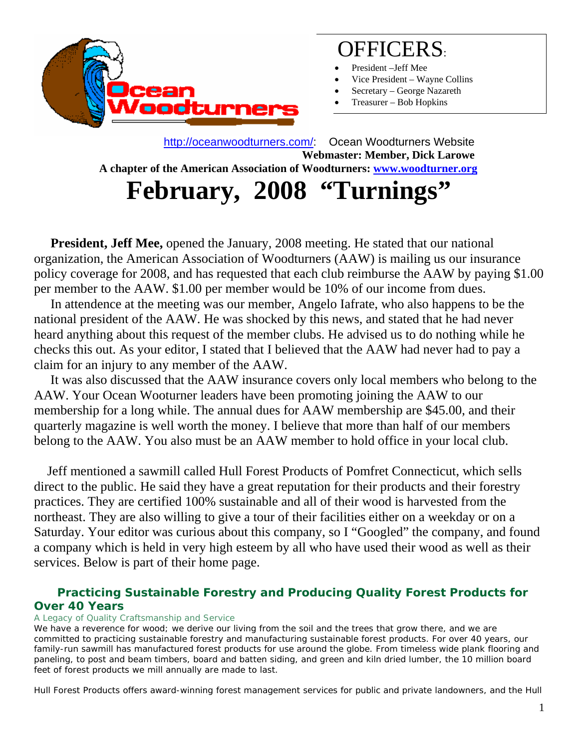

## OFFICERS:

- President-Jeff Mee
- Vice President Wayne Collins
- Secretary George Nazareth
- Treasurer Bob Hopkins

 http://oceanwoodturners.com/: Ocean Woodturners Website **Webmaster: Member, Dick Larowe A chapter of the American Association of Woodturners: www.woodturner.org**  February, 2008 "Turnings

**President, Jeff Mee,** opened the January, 2008 meeting. He stated that our national organization, the American Association of Woodturners (AAW) is mailing us our insurance policy coverage for 2008, and has requested that each club reimburse the AAW by paying \$1.00 per member to the AAW. \$1.00 per member would be 10% of our income from dues.

 In attendence at the meeting was our member, Angelo Iafrate, who also happens to be the national president of the AAW. He was shocked by this news, and stated that he had never heard anything about this request of the member clubs. He advised us to do nothing while he checks this out. As your editor, I stated that I believed that the AAW had never had to pay a claim for an injury to any member of the AAW.

 It was also discussed that the AAW insurance covers only local members who belong to the AAW. Your Ocean Wooturner leaders have been promoting joining the AAW to our membership for a long while. The annual dues for AAW membership are \$45.00, and their quarterly magazine is well worth the money. I believe that more than half of our members belong to the AAW. You also must be an AAW member to hold office in your local club.

 Jeff mentioned a sawmill called Hull Forest Products of Pomfret Connecticut, which sells direct to the public. He said they have a great reputation for their products and their forestry practices. They are certified 100% sustainable and all of their wood is harvested from the northeast. They are also willing to give a tour of their facilities either on a weekday or on a Saturday. Your editor was curious about this company, so I "Googled" the company, and found a company which is held in very high esteem by all who have used their wood as well as their services. Below is part of their home page.

### **Practicing Sustainable Forestry and Producing Quality Forest Products for Over 40 Years**

#### *A Legacy of Quality Craftsmanship and Service*

We have a reverence for wood; we derive our living from the soil and the trees that grow there, and we are committed to practicing sustainable forestry and manufacturing sustainable forest products. For over 40 years, our family-run sawmill has manufactured forest products for use around the globe. From timeless wide plank flooring and paneling, to post and beam timbers, board and batten siding, and green and kiln dried lumber, the 10 million board feet of forest products we mill annually are made to last.

Hull Forest Products offers award-winning forest management services for public and private landowners, and the Hull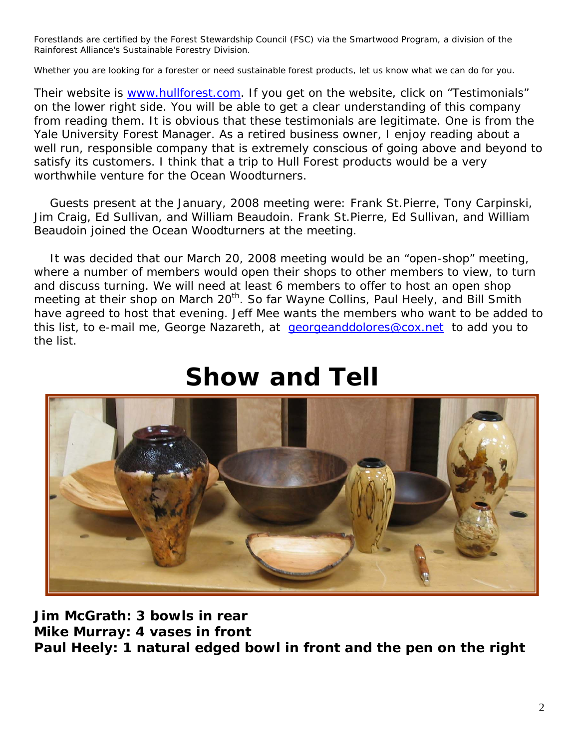Forestlands are certified by the Forest Stewardship Council (FSC) via the Smartwood Program, a division of the Rainforest Alliance's Sustainable Forestry Division.

Whether you are looking for a forester or need sustainable forest products, let us know what we can do for you.

Their website is www.hullforest.com. If you get on the website, click on "Testimonials" on the lower right side. You will be able to get a clear understanding of this company from reading them. It is obvious that these testimonials are legitimate. One is from the Yale University Forest Manager. As a retired business owner, I enjoy reading about a well run, responsible company that is extremely conscious of going above and beyond to satisfy its customers. I think that a trip to Hull Forest products would be a very worthwhile venture for the Ocean Woodturners.

 Guests present at the January, 2008 meeting were: Frank St.Pierre, Tony Carpinski, Jim Craig, Ed Sullivan, and William Beaudoin. Frank St.Pierre, Ed Sullivan, and William Beaudoin joined the Ocean Woodturners at the meeting.

 It was decided that our March 20, 2008 meeting would be an "open-shop" meeting, where a number of members would open their shops to other members to view, to turn and discuss turning. We will need at least 6 members to offer to host an open shop meeting at their shop on March 20<sup>th</sup>. So far Wayne Collins, Paul Heely, and Bill Smith have agreed to host that evening. Jeff Mee wants the members who want to be added to this list, to e-mail me, George Nazareth, at georgeanddolores@cox.net to add you to the list.



# **Show and Tell**

**Jim McGrath: 3 bowls in rear Mike Murray: 4 vases in front Paul Heely: 1 natural edged bowl in front and the pen on the right**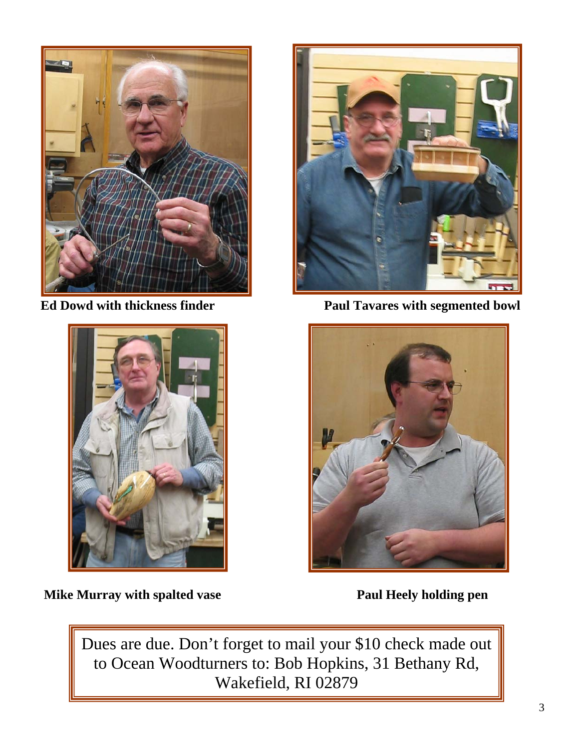



**Ed Dowd with thickness finder Paul Tavares with segmented bowl Paul Tavares with segmented bowl** 



**Mike Murray with spalted vase Theory According Paul Heely holding pen** 

Dues are due. Don't forget to mail your \$10 check made out to Ocean Woodturners to: Bob Hopkins, 31 Bethany Rd, Wakefield, RI 02879